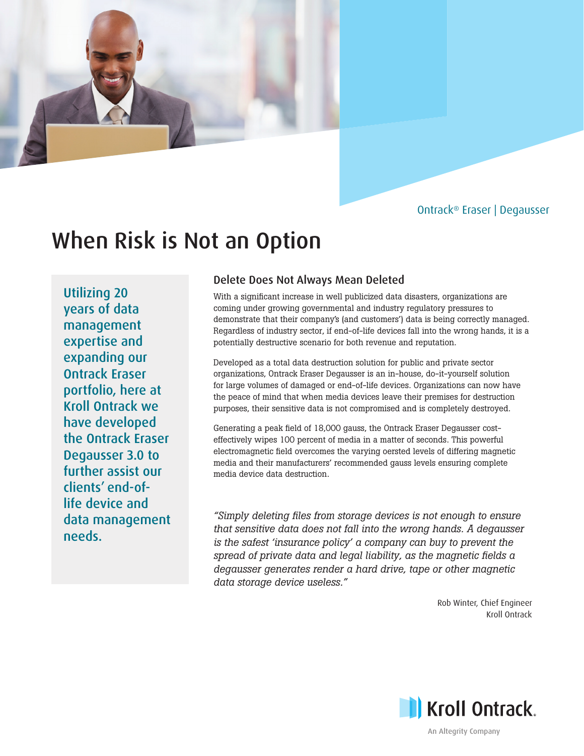# Ontrack® Eraser | Degausser

# When Risk is Not an Option

Utilizing 20 years of data management expertise and expanding our Ontrack Eraser portfolio, here at Kroll Ontrack we have developed the Ontrack Eraser Degausser 3.0 to further assist our clients' end-oflife device and data management needs.

# Delete Does Not Always Mean Deleted

With a significant increase in well publicized data disasters, organizations are coming under growing governmental and industry regulatory pressures to demonstrate that their company's (and customers') data is being correctly managed. Regardless of industry sector, if end-of-life devices fall into the wrong hands, it is a potentially destructive scenario for both revenue and reputation.

Developed as a total data destruction solution for public and private sector organizations, Ontrack Eraser Degausser is an in-house, do-it-yourself solution for large volumes of damaged or end-of-life devices. Organizations can now have the peace of mind that when media devices leave their premises for destruction purposes, their sensitive data is not compromised and is completely destroyed.

Generating a peak field of 18,000 gauss, the Ontrack Eraser Degausser costeffectively wipes 100 percent of media in a matter of seconds. This powerful electromagnetic field overcomes the varying oersted levels of differing magnetic media and their manufacturers' recommended gauss levels ensuring complete media device data destruction.

*"Simply deleting files from storage devices is not enough to ensure that sensitive data does not fall into the wrong hands. A degausser is the safest 'insurance policy' a company can buy to prevent the spread of private data and legal liability, as the magnetic fields a degausser generates render a hard drive, tape or other magnetic data storage device useless."*

> Rob Winter, Chief Engineer Kroll Ontrack